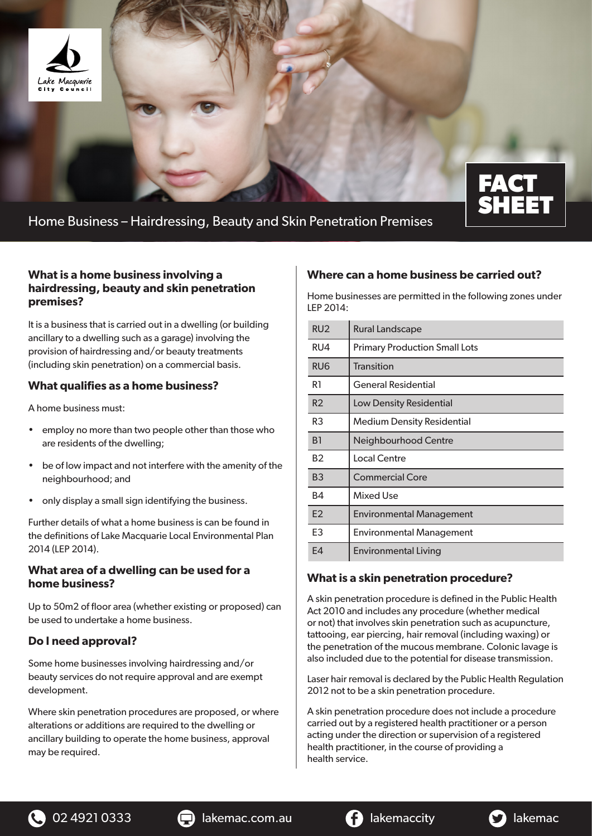



# Home Business – Hairdressing, Beauty and Skin Penetration Premises

### **What is a home business involving a hairdressing, beauty and skin penetration premises?**

It is a business that is carried out in a dwelling (or building ancillary to a dwelling such as a garage) involving the provision of hairdressing and/or beauty treatments (including skin penetration) on a commercial basis.

#### **What qualifies as a home business?**

A home business must:

- employ no more than two people other than those who are residents of the dwelling;
- be of low impact and not interfere with the amenity of the neighbourhood; and
- only display a small sign identifying the business.

Further details of what a home business is can be found in the definitions of Lake Macquarie Local Environmental Plan 2014 (LEP 2014).

### **What area of a dwelling can be used for a home business?**

Up to 50m2 of floor area (whether existing or proposed) can be used to undertake a home business.

#### **Do I need approval?**

Some home businesses involving hairdressing and/or beauty services do not require approval and are exempt development.

Where skin penetration procedures are proposed, or where alterations or additions are required to the dwelling or ancillary building to operate the home business, approval may be required.

### **Where can a home business be carried out?**

Home businesses are permitted in the following zones under LEP 2014:

| RU <sub>2</sub> | Rural Landscape                      |
|-----------------|--------------------------------------|
| RU4             | <b>Primary Production Small Lots</b> |
| RU <sub>6</sub> | Transition                           |
| R1              | <b>General Residential</b>           |
| R <sub>2</sub>  | Low Density Residential              |
| R3              | <b>Medium Density Residential</b>    |
| B <sub>1</sub>  | Neighbourhood Centre                 |
| B2              | <b>Local Centre</b>                  |
| B <sub>3</sub>  | <b>Commercial Core</b>               |
| B4              | <b>Mixed Use</b>                     |
| E <sub>2</sub>  | Environmental Management             |
| E3              | <b>Environmental Management</b>      |
| E4              | <b>Environmental Living</b>          |

### **What is a skin penetration procedure?**

A skin penetration procedure is defined in the Public Health Act 2010 and includes any procedure (whether medical or not) that involves skin penetration such as acupuncture, tattooing, ear piercing, hair removal (including waxing) or the penetration of the mucous membrane. Colonic lavage is also included due to the potential for disease transmission.

Laser hair removal is declared by the Public Health Regulation 2012 not to be a skin penetration procedure.

A skin penetration procedure does not include a procedure carried out by a registered health practitioner or a person acting under the direction or supervision of a registered health practitioner, in the course of providing a health service.



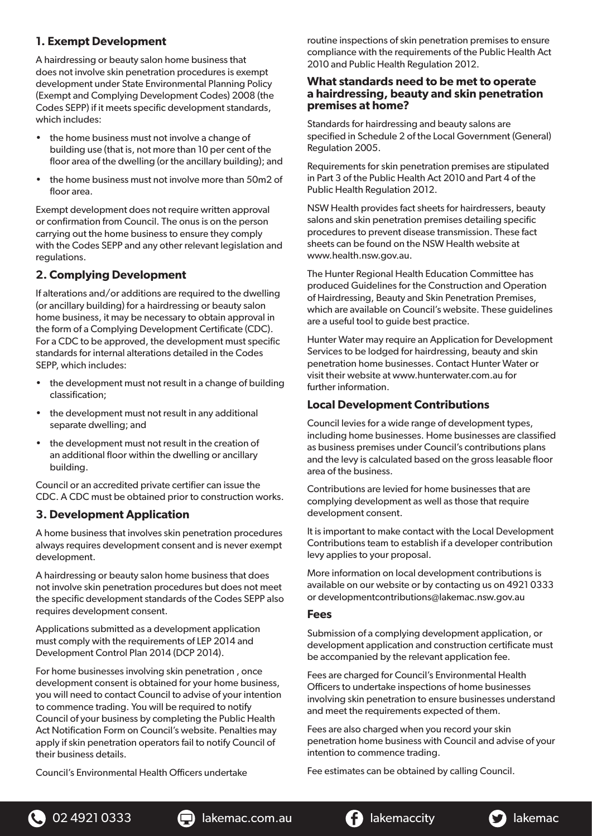## **1. Exempt Development**

A hairdressing or beauty salon home business that does not involve skin penetration procedures is exempt development under State Environmental Planning Policy (Exempt and Complying Development Codes) 2008 (the Codes SEPP) if it meets specific development standards, which includes:

- the home business must not involve a change of building use (that is, not more than 10 per cent of the floor area of the dwelling (or the ancillary building); and
- the home business must not involve more than 50m2 of floor area.

Exempt development does not require written approval or confirmation from Council. The onus is on the person carrying out the home business to ensure they comply with the Codes SEPP and any other relevant legislation and regulations.

### **2. Complying Development**

If alterations and/or additions are required to the dwelling (or ancillary building) for a hairdressing or beauty salon home business, it may be necessary to obtain approval in the form of a Complying Development Certificate (CDC). For a CDC to be approved, the development must specific standards for internal alterations detailed in the Codes SEPP, which includes:

- the development must not result in a change of building classification;
- the development must not result in any additional separate dwelling; and
- the development must not result in the creation of an additional floor within the dwelling or ancillary building.

Council or an accredited private certifier can issue the CDC. A CDC must be obtained prior to construction works.

# **3. Development Application**

A home business that involves skin penetration procedures always requires development consent and is never exempt development.

A hairdressing or beauty salon home business that does not involve skin penetration procedures but does not meet the specific development standards of the Codes SEPP also requires development consent.

Applications submitted as a development application must comply with the requirements of LEP 2014 and Development Control Plan 2014 (DCP 2014).

For home businesses involving skin penetration , once development consent is obtained for your home business, you will need to contact Council to advise of your intention to commence trading. You will be required to notify Council of your business by completing the Public Health Act Notification Form on Council's website. Penalties may apply if skin penetration operators fail to notify Council of their business details.

Council's Environmental Health Officers undertake

routine inspections of skin penetration premises to ensure compliance with the requirements of the Public Health Act 2010 and Public Health Regulation 2012.

#### **What standards need to be met to operate a hairdressing, beauty and skin penetration premises at home?**

Standards for hairdressing and beauty salons are specified in Schedule 2 of the Local Government (General) Regulation 2005.

Requirements for skin penetration premises are stipulated in Part 3 of the Public Health Act 2010 and Part 4 of the Public Health Regulation 2012.

NSW Health provides fact sheets for hairdressers, beauty salons and skin penetration premises detailing specific procedures to prevent disease transmission. These fact sheets can be found on the NSW Health website at www.health.nsw.gov.au.

The Hunter Regional Health Education Committee has produced Guidelines for the Construction and Operation of Hairdressing, Beauty and Skin Penetration Premises, which are available on Council's website. These guidelines are a useful tool to guide best practice.

Hunter Water may require an Application for Development Services to be lodged for hairdressing, beauty and skin penetration home businesses. Contact Hunter Water or visit their website at www.hunterwater.com.au for further information.

### **Local Development Contributions**

Council levies for a wide range of development types, including home businesses. Home businesses are classified as business premises under Council's contributions plans and the levy is calculated based on the gross leasable floor area of the business.

Contributions are levied for home businesses that are complying development as well as those that require development consent.

It is important to make contact with the Local Development Contributions team to establish if a developer contribution levy applies to your proposal.

More information on local development contributions is available on our website or by contacting us on 4921 0333 or developmentcontributions@lakemac.nsw.gov.au

#### **Fees**

Submission of a complying development application, or development application and construction certificate must be accompanied by the relevant application fee.

Fees are charged for Council's Environmental Health Officers to undertake inspections of home businesses involving skin penetration to ensure businesses understand and meet the requirements expected of them.

Fees are also charged when you record your skin penetration home business with Council and advise of your intention to commence trading.

Fee estimates can be obtained by calling Council.